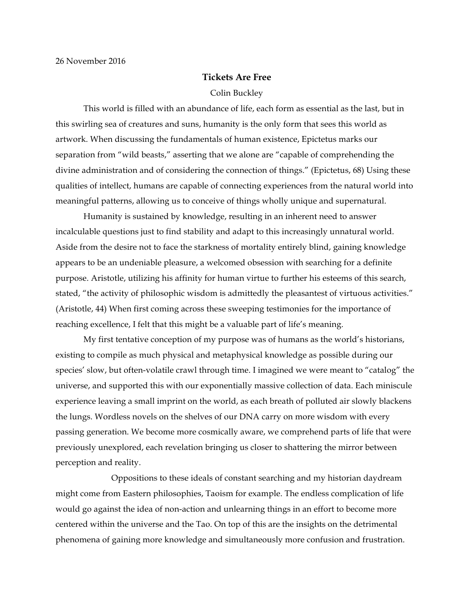## **Tickets Are Free**

## Colin Buckley

This world is filled with an abundance of life, each form as essential as the last, but in this swirling sea of creatures and suns, humanity is the only form that sees this world as artwork. When discussing the fundamentals of human existence, Epictetus marks our separation from "wild beasts," asserting that we alone are "capable of comprehending the divine administration and of considering the connection of things." (Epictetus, 68) Using these qualities of intellect, humans are capable of connecting experiences from the natural world into meaningful patterns, allowing us to conceive of things wholly unique and supernatural.

Humanity is sustained by knowledge, resulting in an inherent need to answer incalculable questions just to find stability and adapt to this increasingly unnatural world. Aside from the desire not to face the starkness of mortality entirely blind, gaining knowledge appears to be an undeniable pleasure, a welcomed obsession with searching for a definite purpose. Aristotle, utilizing his affinity for human virtue to further his esteems of this search, stated, "the activity of philosophic wisdom is admittedly the pleasantest of virtuous activities." (Aristotle, 44) When first coming across these sweeping testimonies for the importance of reaching excellence, I felt that this might be a valuable part of life's meaning.

My first tentative conception of my purpose was of humans as the world's historians, existing to compile as much physical and metaphysical knowledge as possible during our species' slow, but often-volatile crawl through time. I imagined we were meant to "catalog" the universe, and supported this with our exponentially massive collection of data. Each miniscule experience leaving a small imprint on the world, as each breath of polluted air slowly blackens the lungs. Wordless novels on the shelves of our DNA carry on more wisdom with every passing generation. We become more cosmically aware, we comprehend parts of life that were previously unexplored, each revelation bringing us closer to shattering the mirror between perception and reality.

Oppositions to these ideals of constant searching and my historian daydream might come from Eastern philosophies, Taoism for example. The endless complication of life would go against the idea of non-action and unlearning things in an effort to become more centered within the universe and the Tao. On top of this are the insights on the detrimental phenomena of gaining more knowledge and simultaneously more confusion and frustration.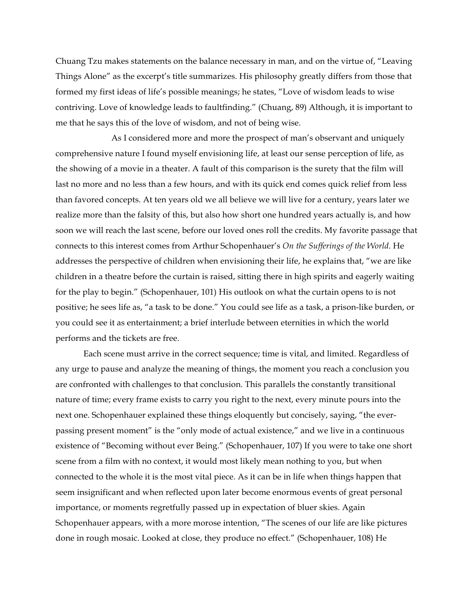Chuang Tzu makes statements on the balance necessary in man, and on the virtue of, "Leaving Things Alone" as the excerpt's title summarizes. His philosophy greatly differs from those that formed my first ideas of life's possible meanings; he states, "Love of wisdom leads to wise contriving. Love of knowledge leads to faultfinding." (Chuang, 89) Although, it is important to me that he says this of the love of wisdom, and not of being wise.

As I considered more and more the prospect of man's observant and uniquely comprehensive nature I found myself envisioning life, at least our sense perception of life, as the showing of a movie in a theater. A fault of this comparison is the surety that the film will last no more and no less than a few hours, and with its quick end comes quick relief from less than favored concepts. At ten years old we all believe we will live for a century, years later we realize more than the falsity of this, but also how short one hundred years actually is, and how soon we will reach the last scene, before our loved ones roll the credits. My favorite passage that connects to this interest comes from Arthur Schopenhauer's *On the Sufferings of the World*. He addresses the perspective of children when envisioning their life, he explains that, "we are like children in a theatre before the curtain is raised, sitting there in high spirits and eagerly waiting for the play to begin." (Schopenhauer, 101) His outlook on what the curtain opens to is not positive; he sees life as, "a task to be done." You could see life as a task, a prison-like burden, or you could see it as entertainment; a brief interlude between eternities in which the world performs and the tickets are free.

Each scene must arrive in the correct sequence; time is vital, and limited. Regardless of any urge to pause and analyze the meaning of things, the moment you reach a conclusion you are confronted with challenges to that conclusion. This parallels the constantly transitional nature of time; every frame exists to carry you right to the next, every minute pours into the next one. Schopenhauer explained these things eloquently but concisely, saying, "the everpassing present moment" is the "only mode of actual existence," and we live in a continuous existence of "Becoming without ever Being." (Schopenhauer, 107) If you were to take one short scene from a film with no context, it would most likely mean nothing to you, but when connected to the whole it is the most vital piece. As it can be in life when things happen that seem insignificant and when reflected upon later become enormous events of great personal importance, or moments regretfully passed up in expectation of bluer skies. Again Schopenhauer appears, with a more morose intention, "The scenes of our life are like pictures done in rough mosaic. Looked at close, they produce no effect." (Schopenhauer, 108) He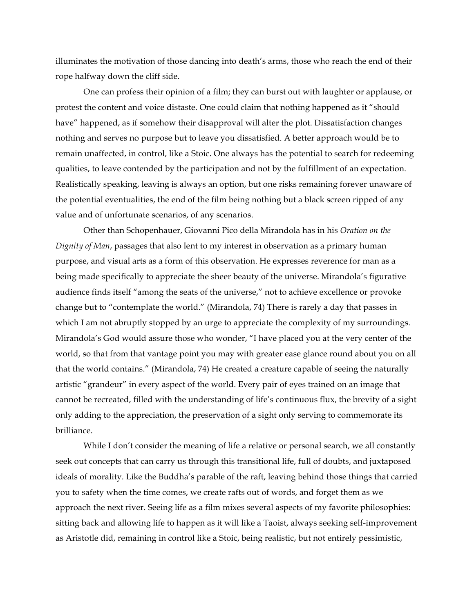illuminates the motivation of those dancing into death's arms, those who reach the end of their rope halfway down the cliff side.

One can profess their opinion of a film; they can burst out with laughter or applause, or protest the content and voice distaste. One could claim that nothing happened as it "should have" happened, as if somehow their disapproval will alter the plot. Dissatisfaction changes nothing and serves no purpose but to leave you dissatisfied. A better approach would be to remain unaffected, in control, like a Stoic. One always has the potential to search for redeeming qualities, to leave contended by the participation and not by the fulfillment of an expectation. Realistically speaking, leaving is always an option, but one risks remaining forever unaware of the potential eventualities, the end of the film being nothing but a black screen ripped of any value and of unfortunate scenarios, of any scenarios.

Other than Schopenhauer, Giovanni Pico della Mirandola has in his *Oration on the Dignity of Man*, passages that also lent to my interest in observation as a primary human purpose, and visual arts as a form of this observation. He expresses reverence for man as a being made specifically to appreciate the sheer beauty of the universe. Mirandola's figurative audience finds itself "among the seats of the universe," not to achieve excellence or provoke change but to "contemplate the world." (Mirandola, 74) There is rarely a day that passes in which I am not abruptly stopped by an urge to appreciate the complexity of my surroundings. Mirandola's God would assure those who wonder, "I have placed you at the very center of the world, so that from that vantage point you may with greater ease glance round about you on all that the world contains." (Mirandola, 74) He created a creature capable of seeing the naturally artistic "grandeur" in every aspect of the world. Every pair of eyes trained on an image that cannot be recreated, filled with the understanding of life's continuous flux, the brevity of a sight only adding to the appreciation, the preservation of a sight only serving to commemorate its brilliance.

While I don't consider the meaning of life a relative or personal search, we all constantly seek out concepts that can carry us through this transitional life, full of doubts, and juxtaposed ideals of morality. Like the Buddha's parable of the raft, leaving behind those things that carried you to safety when the time comes, we create rafts out of words, and forget them as we approach the next river. Seeing life as a film mixes several aspects of my favorite philosophies: sitting back and allowing life to happen as it will like a Taoist, always seeking self-improvement as Aristotle did, remaining in control like a Stoic, being realistic, but not entirely pessimistic,